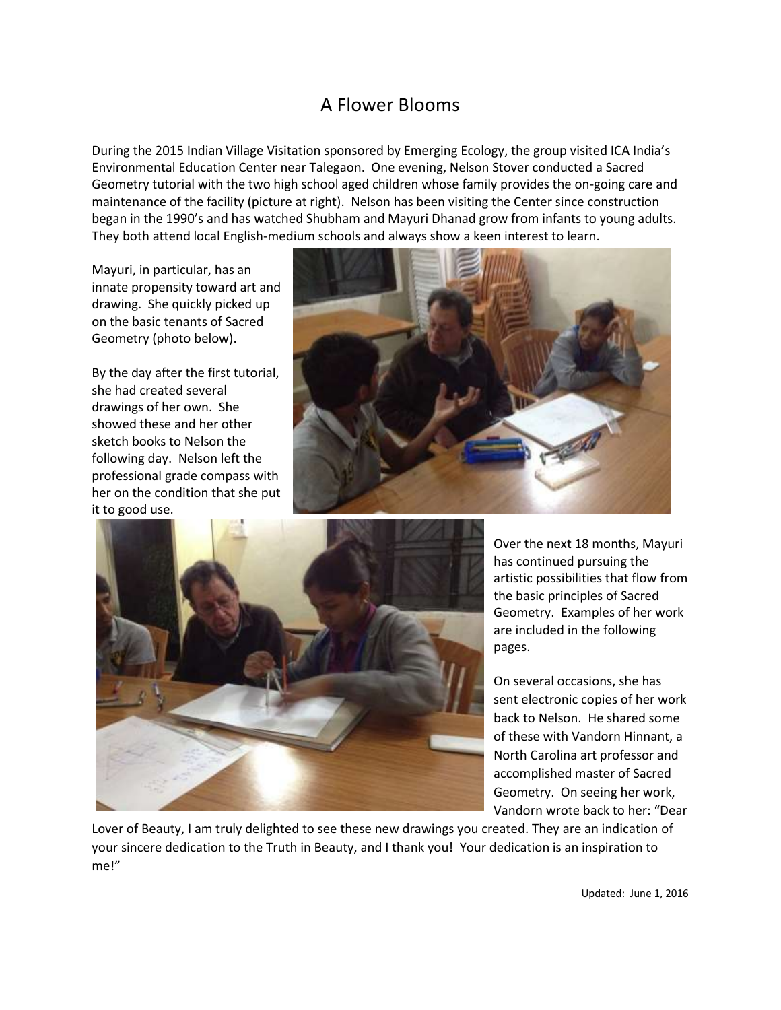## A Flower Blooms

During the 2015 Indian Village Visitation sponsored by Emerging Ecology, the group visited ICA India's Environmental Education Center near Talegaon. One evening, Nelson Stover conducted a Sacred Geometry tutorial with the two high school aged children whose family provides the on-going care and maintenance of the facility (picture at right). Nelson has been visiting the Center since construction began in the 1990's and has watched Shubham and Mayuri Dhanad grow from infants to young adults. They both attend local English-medium schools and always show a keen interest to learn.

Mayuri, in particular, has an innate propensity toward art and drawing. She quickly picked up on the basic tenants of Sacred Geometry (photo below).

By the day after the first tutorial, she had created several drawings of her own. She showed these and her other sketch books to Nelson the following day. Nelson left the professional grade compass with her on the condition that she put it to good use.





Over the next 18 months, Mayuri has continued pursuing the artistic possibilities that flow from the basic principles of Sacred Geometry. Examples of her work are included in the following pages.

On several occasions, she has sent electronic copies of her work back to Nelson. He shared some of these with Vandorn Hinnant, a North Carolina art professor and accomplished master of Sacred Geometry. On seeing her work, Vandorn wrote back to her: "Dear

Lover of Beauty, I am truly delighted to see these new drawings you created. They are an indication of your sincere dedication to the Truth in Beauty, and I thank you! Your dedication is an inspiration to me!"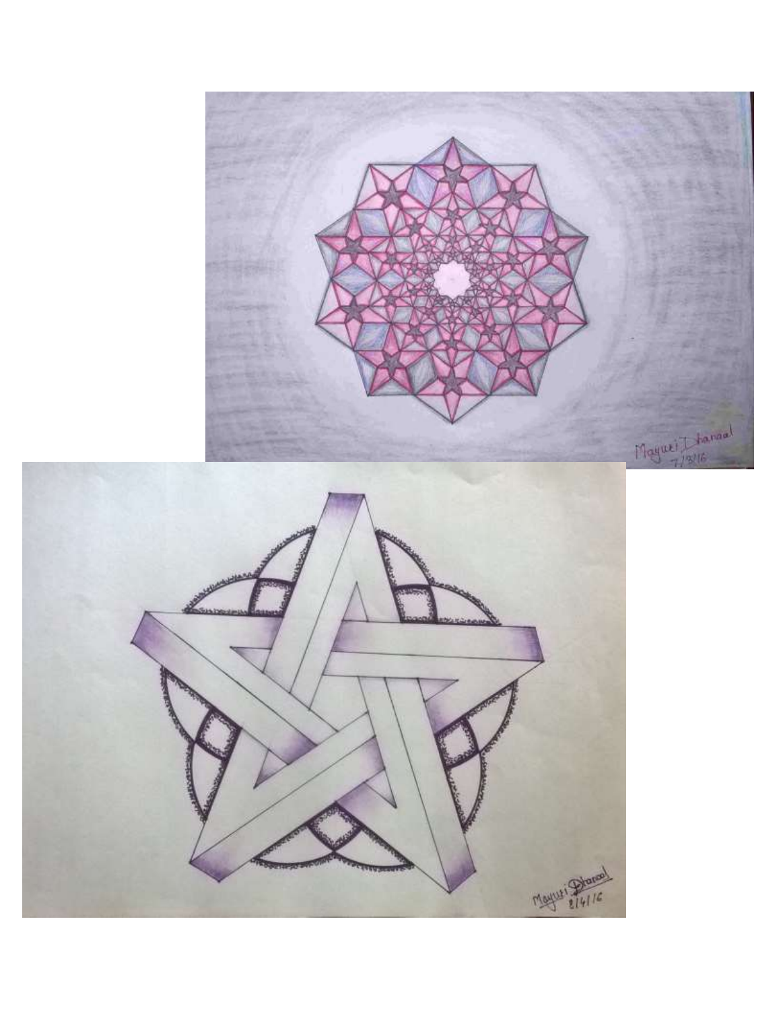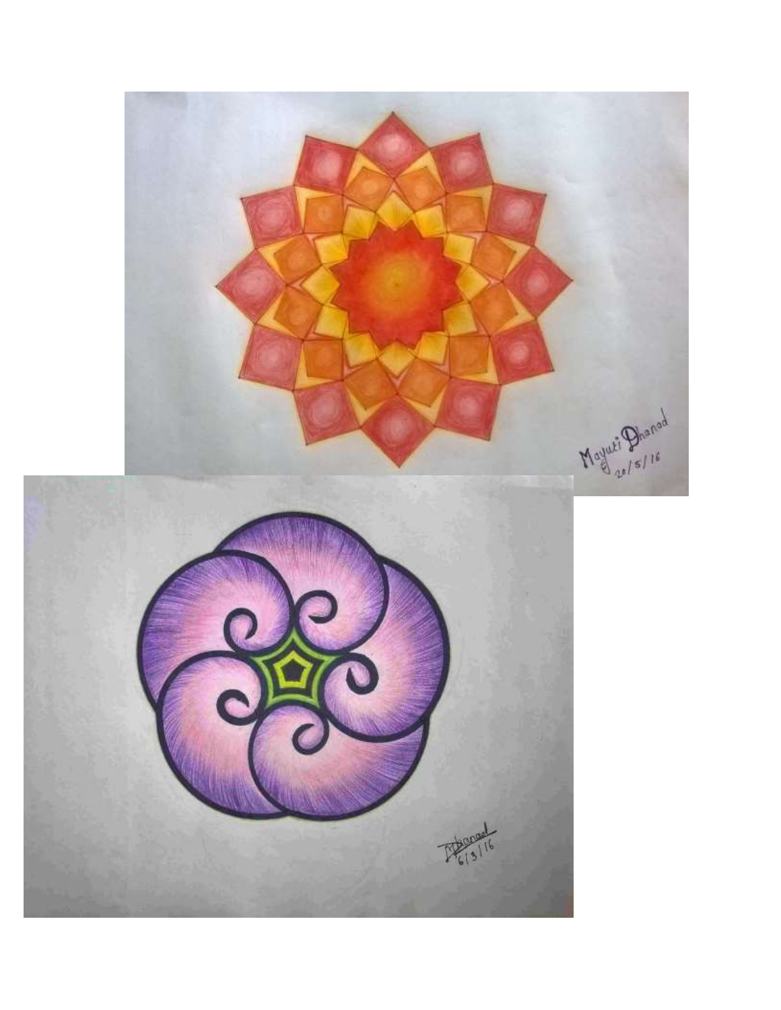